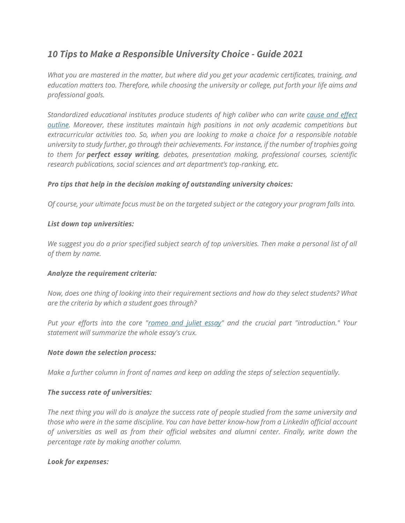# *10 Tips to Make a Responsible University Choice - Guide 2021*

*What you are mastered in the matter, but where did you get your academic certificates, training, and education matters too. Therefore, while choosing the university or college, put forth your life aims and professional goals.*

*Standardized educational institutes produce students of high caliber who can write [cause](https://perfectessaywriting.com/blog/cause-and-effect-essay) and effect [outline.](https://perfectessaywriting.com/blog/cause-and-effect-essay) Moreover, these institutes maintain high positions in not only academic competitions but extracurricular activities too. So, when you are looking to make a choice for a responsible notable university to study further, go through their achievements. For instance, if the number of trophies going to them for perfect essay writing, debates, presentation making, professional courses, scientific research publications, social sciences and art department's top-ranking, etc.*

## *Pro tips that help in the decision making of outstanding university choices:*

*Of course, your ultimate focus must be on the targeted subject or the category your program falls into.*

#### *List down top universities:*

We suggest you do a prior specified subject search of top universities. Then make a personal list of all *of them by name.*

#### *Analyze the requirement criteria:*

*Now, does one thing of looking into their requirement sections and how do they select students? What are the criteria by which a student goes through?*

*Put your efforts into the core ["romeo](https://perfectessaywriting.com/romeo-and-juliet-essay) and juliet essay" and the crucial part "introduction." Your statement will summarize the whole essay's crux.*

#### *Note down the selection process:*

*Make a further column in front of names and keep on adding the steps of selection sequentially.*

#### *The success rate of universities:*

*The next thing you will do is analyze the success rate of people studied from the same university and those who were in the same discipline. You can have better know-how from a LinkedIn official account of universities as well as from their official websites and alumni center. Finally, write down the percentage rate by making another column.*

#### *Look for expenses:*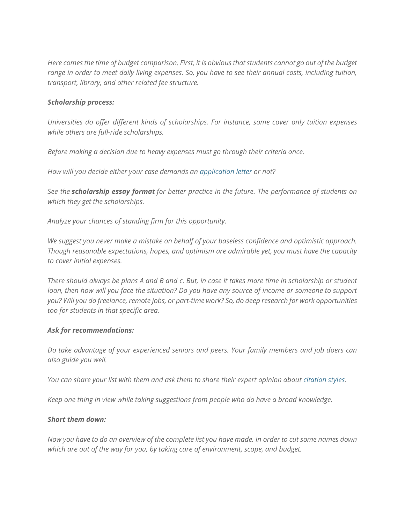*Here comes the time of budget comparison. First, it is obvious that students cannot go out of the budget range in order to meet daily living expenses. So, you have to see their annual costs, including tuition, transport, library, and other related fee structure.*

#### *Scholarship process:*

*Universities do offer different kinds of scholarships. For instance, some cover only tuition expenses while others are full-ride scholarships.*

*Before making a decision due to heavy expenses must go through their criteria once.*

*How will you decide either your case demands an [application](https://perfectessaywriting.com/application-letter) letter or not?*

*See the scholarship essay format for better practice in the future. The performance of students on which they get the scholarships.*

*Analyze your chances of standing firm for this opportunity.*

*We suggest you never make a mistake on behalf of your baseless confidence and optimistic approach. Though reasonable expectations, hopes, and optimism are admirable yet, you must have the capacity to cover initial expenses.*

*There should always be plans A and B and c. But, in case it takes more time in scholarship or student loan, then how will you face the situation? Do you have any source of income or someone to support you? Will you do freelance, remote jobs, or part-time work? So, do deep research for work opportunities too for students in that specific area.*

#### *Ask for recommendations:*

*Do take advantage of your experienced seniors and peers. Your family members and job doers can also guide you well.*

*You can share your list with them and ask them to share their expert opinion about [citation](https://perfectessaywriting.com/blog/citation-styles) styles.*

*Keep one thing in view while taking suggestions from people who do have a broad knowledge.*

#### *Short them down:*

*Now you have to do an overview of the complete list you have made. In order to cut some names down which are out of the way for you, by taking care of environment, scope, and budget.*